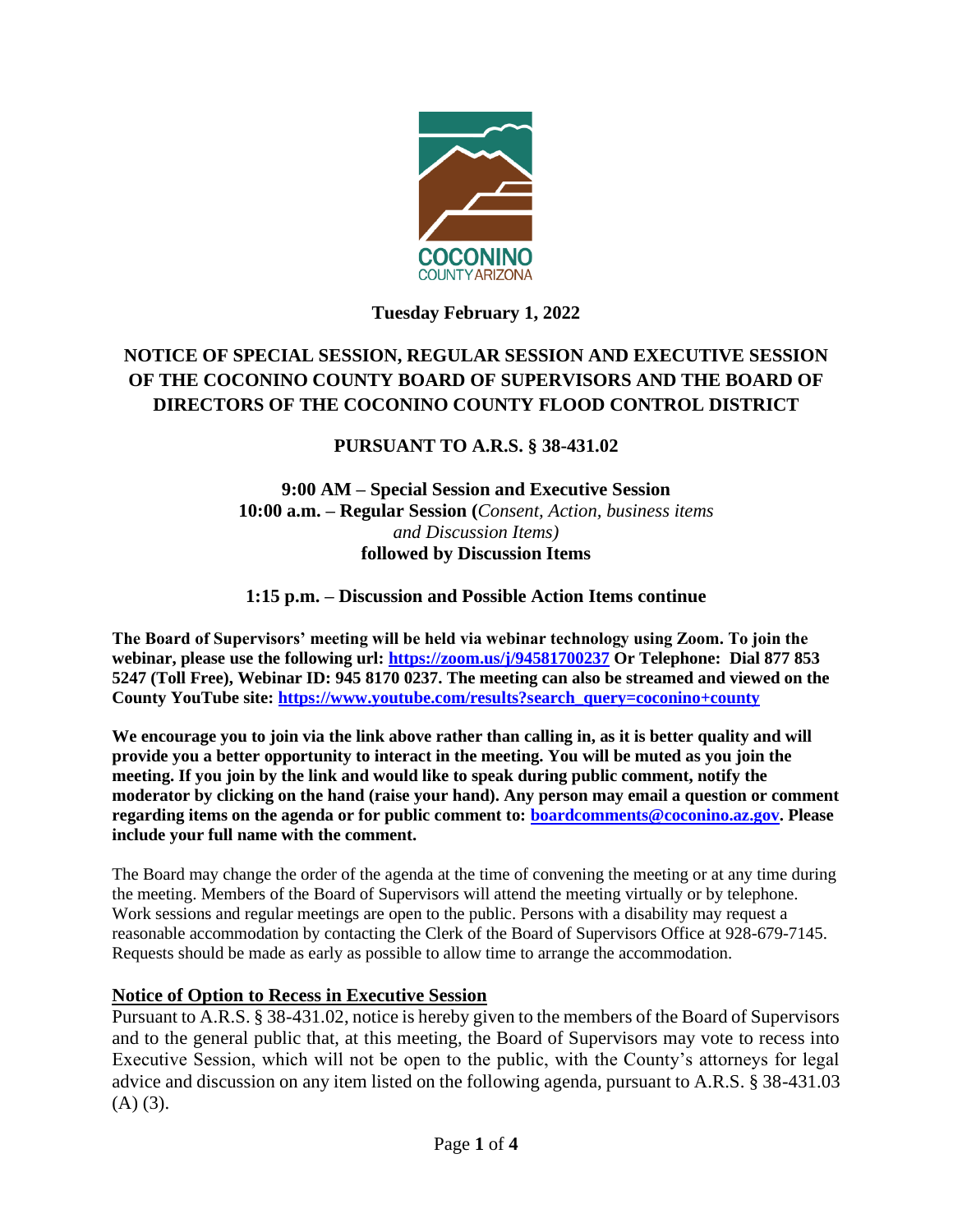

## **Tuesday February 1, 2022**

# **NOTICE OF SPECIAL SESSION, REGULAR SESSION AND EXECUTIVE SESSION OF THE COCONINO COUNTY BOARD OF SUPERVISORS AND THE BOARD OF DIRECTORS OF THE COCONINO COUNTY FLOOD CONTROL DISTRICT**

## **PURSUANT TO A.R.S. § 38-431.02**

#### **9:00 AM – Special Session and Executive Session 10:00 a.m. – Regular Session (***Consent, Action, business items and Discussion Items)* **followed by Discussion Items**

## **1:15 p.m. – Discussion and Possible Action Items continue**

**The Board of Supervisors' meeting will be held via webinar technology using Zoom. To join the webinar, please use the following url:<https://zoom.us/j/94581700237> Or Telephone: Dial 877 853 5247 (Toll Free), Webinar ID: 945 8170 0237. The meeting can also be streamed and viewed on the County YouTube site: [https://www.youtube.com/results?search\\_query=coconino+county](https://www.youtube.com/results?search_query=coconino+county)**

**We encourage you to join via the link above rather than calling in, as it is better quality and will provide you a better opportunity to interact in the meeting. You will be muted as you join the meeting. If you join by the link and would like to speak during public comment, notify the moderator by clicking on the hand (raise your hand). Any person may email a question or comment regarding items on the agenda or for public comment to: [boardcomments@coconino.az.gov.](mailto:boardcomments@coconino.az.gov) Please include your full name with the comment.** 

The Board may change the order of the agenda at the time of convening the meeting or at any time during the meeting. Members of the Board of Supervisors will attend the meeting virtually or by telephone. Work sessions and regular meetings are open to the public. Persons with a disability may request a reasonable accommodation by contacting the Clerk of the Board of Supervisors Office at 928-679-7145. Requests should be made as early as possible to allow time to arrange the accommodation.

## **Notice of Option to Recess in Executive Session**

Pursuant to A.R.S. § 38-431.02, notice is hereby given to the members of the Board of Supervisors and to the general public that, at this meeting, the Board of Supervisors may vote to recess into Executive Session, which will not be open to the public, with the County's attorneys for legal advice and discussion on any item listed on the following agenda, pursuant to A.R.S. § 38-431.03  $(A)$   $(3)$ .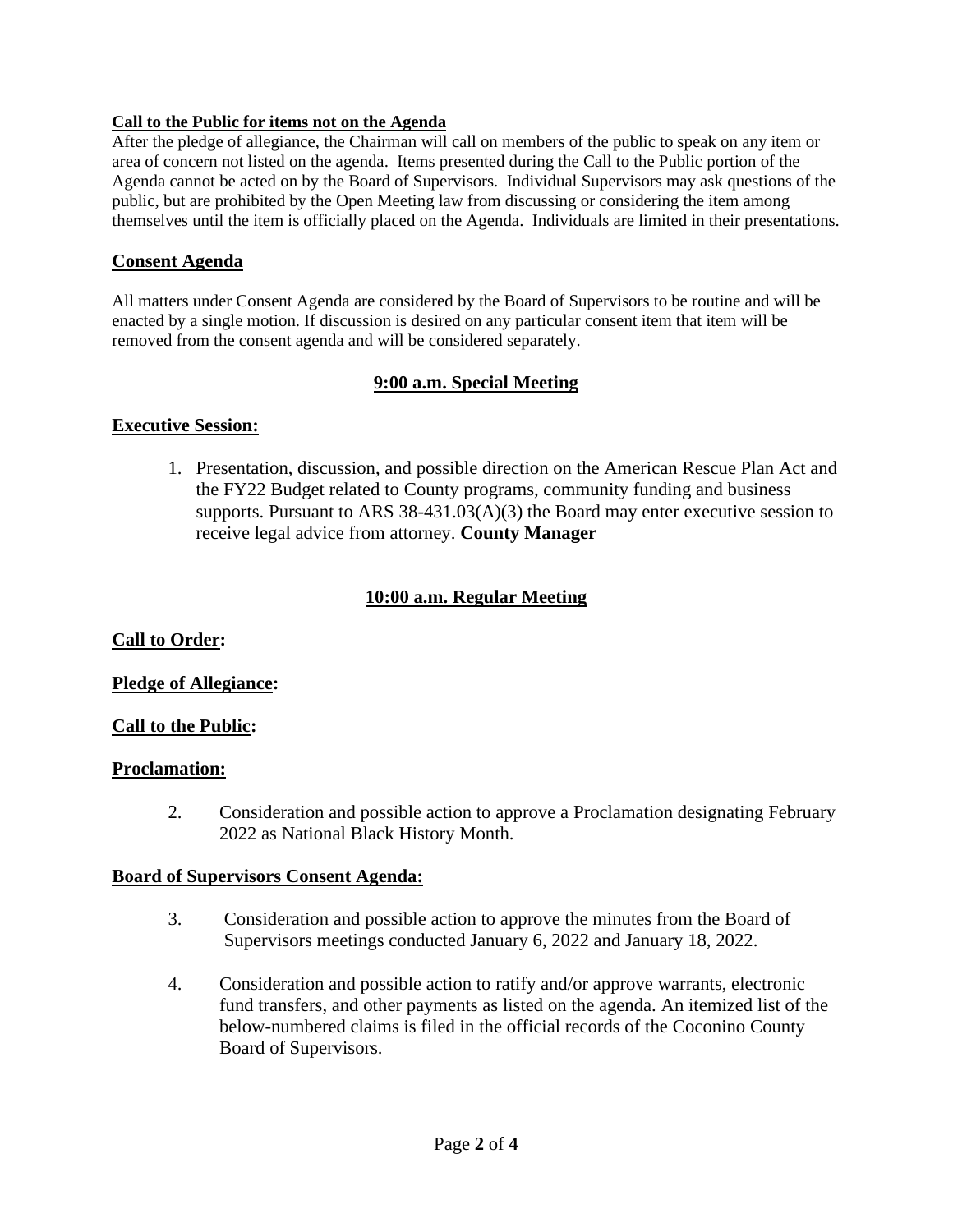#### **Call to the Public for items not on the Agenda**

After the pledge of allegiance, the Chairman will call on members of the public to speak on any item or area of concern not listed on the agenda. Items presented during the Call to the Public portion of the Agenda cannot be acted on by the Board of Supervisors. Individual Supervisors may ask questions of the public, but are prohibited by the Open Meeting law from discussing or considering the item among themselves until the item is officially placed on the Agenda. Individuals are limited in their presentations.

#### **Consent Agenda**

All matters under Consent Agenda are considered by the Board of Supervisors to be routine and will be enacted by a single motion. If discussion is desired on any particular consent item that item will be removed from the consent agenda and will be considered separately.

## **9:00 a.m. Special Meeting**

#### **Executive Session:**

1. Presentation, discussion, and possible direction on the American Rescue Plan Act and the FY22 Budget related to County programs, community funding and business supports. Pursuant to ARS 38-431.03(A)(3) the Board may enter executive session to receive legal advice from attorney. **County Manager**

## **10:00 a.m. Regular Meeting**

## **Call to Order:**

## **Pledge of Allegiance:**

## **Call to the Public:**

#### **Proclamation:**

2. Consideration and possible action to approve a Proclamation designating February 2022 as National Black History Month.

#### **Board of Supervisors Consent Agenda:**

- 3. Consideration and possible action to approve the minutes from the Board of Supervisors meetings conducted January 6, 2022 and January 18, 2022.
- 4. Consideration and possible action to ratify and/or approve warrants, electronic fund transfers, and other payments as listed on the agenda. An itemized list of the below-numbered claims is filed in the official records of the Coconino County Board of Supervisors.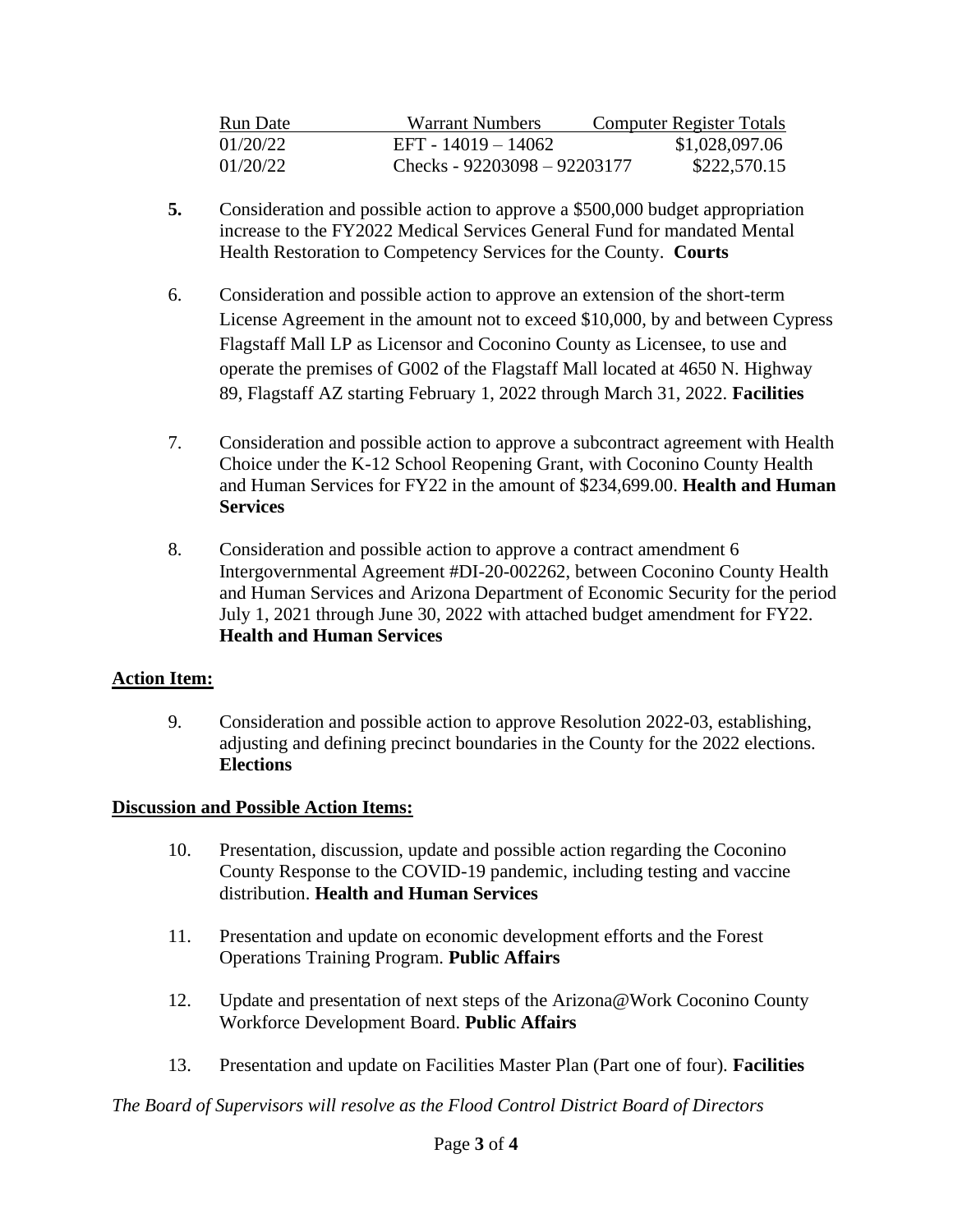| Run Date | Warrant Numbers                | <b>Computer Register Totals</b> |
|----------|--------------------------------|---------------------------------|
| 01/20/22 | EFT - 14019 - 14062            | \$1,028,097.06                  |
| 01/20/22 | Checks - $92203098 - 92203177$ | \$222,570.15                    |

- **5.** Consideration and possible action to approve a \$500,000 budget appropriation increase to the FY2022 Medical Services General Fund for mandated Mental Health Restoration to Competency Services for the County. **Courts**
- 6. Consideration and possible action to approve an extension of the short-term License Agreement in the amount not to exceed \$10,000, by and between Cypress Flagstaff Mall LP as Licensor and Coconino County as Licensee, to use and operate the premises of G002 of the Flagstaff Mall located at 4650 N. Highway 89, Flagstaff AZ starting February 1, 2022 through March 31, 2022. **Facilities**
- 7. Consideration and possible action to approve a subcontract agreement with Health Choice under the K-12 School Reopening Grant, with Coconino County Health and Human Services for FY22 in the amount of \$234,699.00. **Health and Human Services**
- 8. Consideration and possible action to approve a contract amendment 6 Intergovernmental Agreement #DI-20-002262, between Coconino County Health and Human Services and Arizona Department of Economic Security for the period July 1, 2021 through June 30, 2022 with attached budget amendment for FY22. **Health and Human Services**

## **Action Item:**

9. Consideration and possible action to approve Resolution 2022-03, establishing, adjusting and defining precinct boundaries in the County for the 2022 elections.  **Elections**

## **Discussion and Possible Action Items:**

- 10. Presentation, discussion, update and possible action regarding the Coconino County Response to the COVID-19 pandemic, including testing and vaccine distribution. **Health and Human Services**
- 11. Presentation and update on economic development efforts and the Forest Operations Training Program. **Public Affairs**
- 12. Update and presentation of next steps of the Arizona@Work Coconino County Workforce Development Board. **Public Affairs**
- 13. Presentation and update on Facilities Master Plan (Part one of four). **Facilities**

*The Board of Supervisors will resolve as the Flood Control District Board of Directors*